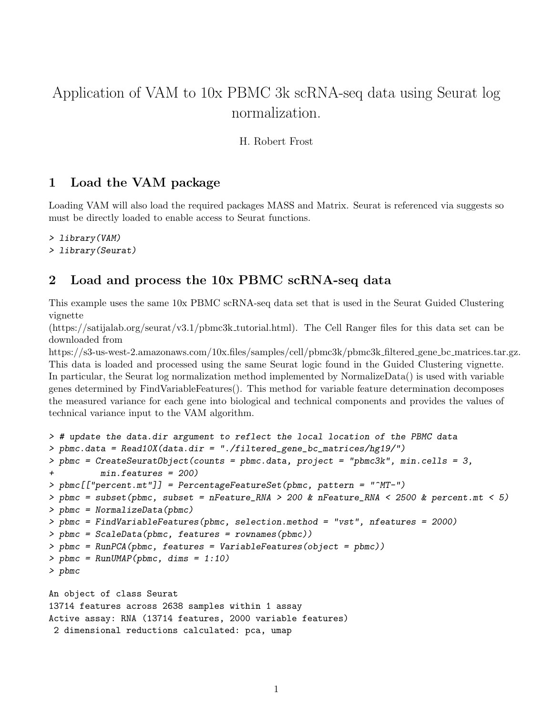# Application of VAM to 10x PBMC 3k scRNA-seq data using Seurat log normalization.

#### H. Robert Frost

# 1 Load the VAM package

Loading VAM will also load the required packages MASS and Matrix. Seurat is referenced via suggests so must be directly loaded to enable access to Seurat functions.

- > library(VAM)
- > library(Seurat)

### 2 Load and process the 10x PBMC scRNA-seq data

This example uses the same 10x PBMC scRNA-seq data set that is used in the Seurat Guided Clustering vignette

(https://satijalab.org/seurat/v3.1/pbmc3k tutorial.html). The Cell Ranger files for this data set can be downloaded from

https://s3-us-west-2.amazonaws.com/10x.files/samples/cell/pbmc3k/pbmc3k filtered gene bc matrices.tar.gz. This data is loaded and processed using the same Seurat logic found in the Guided Clustering vignette. In particular, the Seurat log normalization method implemented by NormalizeData() is used with variable genes determined by FindVariableFeatures(). This method for variable feature determination decomposes the measured variance for each gene into biological and technical components and provides the values of technical variance input to the VAM algorithm.

```
> # update the data.dir argument to reflect the local location of the PBMC data
> pbmc.data = Read10X(data.dir = "./filtered_gene_bc_matrices/hg19/")
> pbmc = CreateSeuratObject(counts = pbmc.data, project = "pbmc3k", min.cells = 3,
+ min.features = 200)
> pbmc[["percent.mt"]] = PercentageFeatureSet(pbmc, pattern = "^MT-")
> pbmc = subset(pbmc, subset = nFeature_RNA > 200 & nFeature_RNA < 2500 & percent.mt < 5)
> pbmc = NormalizeData(pbmc)
> pbmc = FindVariableFeatures(pbmc, selection.method = "vst", nfeatures = 2000)
> pbmc = ScaleData(pbmc, features = rownames(pbmc))
> pbmc = RunPCA(pbmc, features = VariableFeatures(object = pbmc))
> pbmc = RunUMAP(pbmc, dims = 1:10)
> pbmc
An object of class Seurat
13714 features across 2638 samples within 1 assay
Active assay: RNA (13714 features, 2000 variable features)
```

```
2 dimensional reductions calculated: pca, umap
```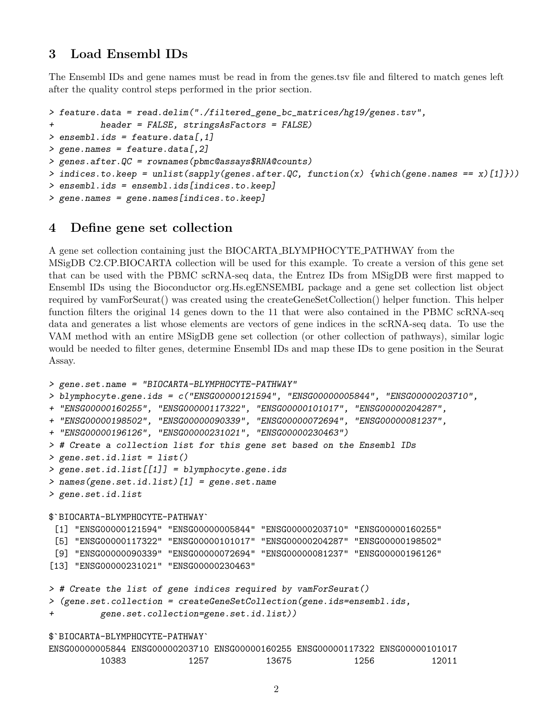# 3 Load Ensembl IDs

The Ensembl IDs and gene names must be read in from the genes.tsv file and filtered to match genes left after the quality control steps performed in the prior section.

```
> feature.data = read.delim("./filtered_gene_bc_matrices/hg19/genes.tsv",
+ header = FALSE, stringsAsFactors = FALSE)
> ensembl.ids = feature.data[,1]
> gene.names = feature.data[,2]
> genes.after.QC = rownames(pbmc@assays$RNA@counts)
> indices.to.keep = unlist(sapply(genes.after.QC, function(x) {which(gene.names == x)[1]}))
> ensembl.ids = ensembl.ids[indices.to.keep]
> gene.names = gene.names[indices.to.keep]
```
# 4 Define gene set collection

A gene set collection containing just the BIOCARTA BLYMPHOCYTE PATHWAY from the

MSigDB C2.CP.BIOCARTA collection will be used for this example. To create a version of this gene set that can be used with the PBMC scRNA-seq data, the Entrez IDs from MSigDB were first mapped to Ensembl IDs using the Bioconductor org.Hs.egENSEMBL package and a gene set collection list object required by vamForSeurat() was created using the createGeneSetCollection() helper function. This helper function filters the original 14 genes down to the 11 that were also contained in the PBMC scRNA-seq data and generates a list whose elements are vectors of gene indices in the scRNA-seq data. To use the VAM method with an entire MSigDB gene set collection (or other collection of pathways), similar logic would be needed to filter genes, determine Ensembl IDs and map these IDs to gene position in the Seurat Assay.

```
> gene.set.name = "BIOCARTA-BLYMPHOCYTE-PATHWAY"
> blymphocyte.gene.ids = c("ENSG00000121594", "ENSG00000005844", "ENSG00000203710",
+ "ENSG00000160255", "ENSG00000117322", "ENSG00000101017", "ENSG00000204287",
+ "ENSG00000198502", "ENSG00000090339", "ENSG00000072694", "ENSG00000081237",
+ "ENSG00000196126", "ENSG00000231021", "ENSG00000230463")
> # Create a collection list for this gene set based on the Ensembl IDs
> gene.set.id.list = list()
> gene.set.id.list[[1]] = blymphocyte.gene.ids
> names(gene.set.id.list)[1] = gene.set.name
> gene.set.id.list
$`BIOCARTA-BLYMPHOCYTE-PATHWAY`
 [1] "ENSG00000121594" "ENSG00000005844" "ENSG00000203710" "ENSG00000160255"
 [5] "ENSG00000117322" "ENSG00000101017" "ENSG00000204287" "ENSG00000198502"
 [9] "ENSG00000090339" "ENSG00000072694" "ENSG00000081237" "ENSG00000196126"
[13] "ENSG00000231021" "ENSG00000230463"
> # Create the list of gene indices required by vamForSeurat()
> (gene.set.collection = createGeneSetCollection(gene.ids=ensembl.ids,
+ gene.set.collection=gene.set.id.list))
$`BIOCARTA-BLYMPHOCYTE-PATHWAY`
ENSG00000005844 ENSG00000203710 ENSG00000160255 ENSG00000117322 ENSG00000101017
```

|       |      | VVVVVVVII LIINUVVVVVVUVVIIIV LIINUVVVVVILUVU LIINUVVVVVIII LIINUVVVVVIVIVIII |      |  |
|-------|------|------------------------------------------------------------------------------|------|--|
| 10383 | 1257 | 13675                                                                        | 256ء |  |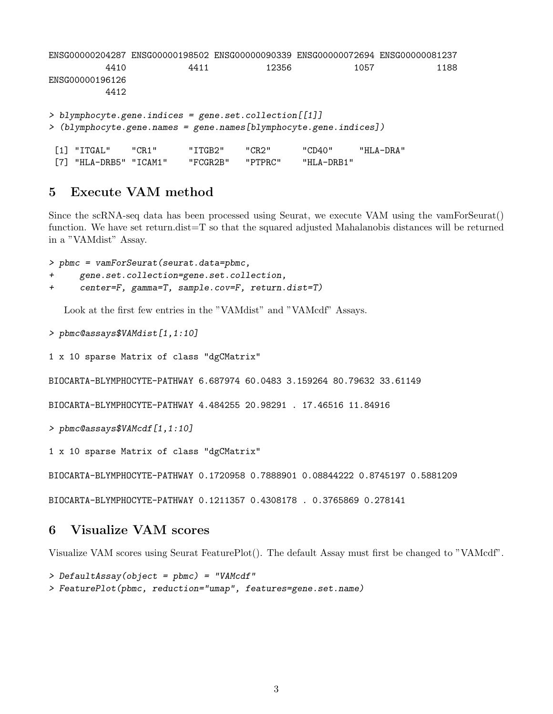```
ENSG00000204287 ENSG00000198502 ENSG00000090339 ENSG00000072694 ENSG00000081237
         4410 4411 12356 1057 1188
ENSG00000196126
         4412
> blymphocyte.gene.indices = gene.set.collection[[1]]
> (blymphocyte.gene.names = gene.names[blymphocyte.gene.indices])
[1] "ITGAL" "CR1" "ITGB2" "CR2" "CD40" "HLA-DRA"
[7] "HLA-DRB5" "ICAM1" "FCGR2B" "PTPRC" "HLA-DRB1"
```
### 5 Execute VAM method

Since the scRNA-seq data has been processed using Seurat, we execute VAM using the vamForSeurat() function. We have set return.dist=T so that the squared adjusted Mahalanobis distances will be returned in a "VAMdist" Assay.

> pbmc = vamForSeurat(seurat.data=pbmc,

```
gene.set.collection=gene.set.collection,
```

```
+ center=F, gamma=T, sample.cov=F, return.dist=T)
```
Look at the first few entries in the "VAMdist" and "VAMcdf" Assays.

> pbmc@assays\$VAMdist[1,1:10]

```
1 x 10 sparse Matrix of class "dgCMatrix"
```
BIOCARTA-BLYMPHOCYTE-PATHWAY 6.687974 60.0483 3.159264 80.79632 33.61149

BIOCARTA-BLYMPHOCYTE-PATHWAY 4.484255 20.98291 . 17.46516 11.84916

```
> pbmc@assays$VAMcdf[1,1:10]
```
1 x 10 sparse Matrix of class "dgCMatrix"

BIOCARTA-BLYMPHOCYTE-PATHWAY 0.1720958 0.7888901 0.08844222 0.8745197 0.5881209

BIOCARTA-BLYMPHOCYTE-PATHWAY 0.1211357 0.4308178 . 0.3765869 0.278141

### 6 Visualize VAM scores

Visualize VAM scores using Seurat FeaturePlot(). The default Assay must first be changed to "VAMcdf".

```
> DefaultAssay(object = pbmc) = "VAMcdf"
```
> FeaturePlot(pbmc, reduction="umap", features=gene.set.name)